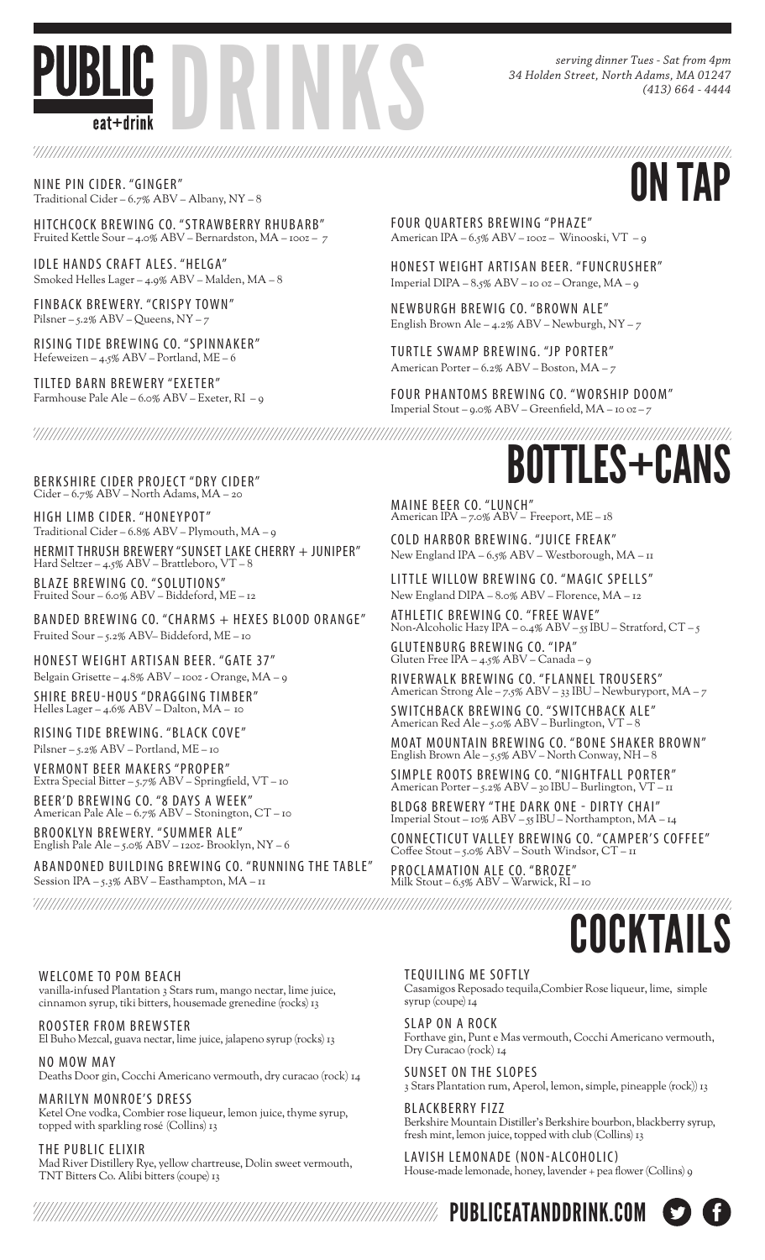

*serving dinner Tues - Sat from 4pm 34 Holden Street, North Adams, MA 01247 (413) 664 - 4444*

NINE PIN CIDER. "GINGER"<br>Traditional Cider – 6.7% ABV – Albany, NY – 8 Traditional Cider – 6.7% ABV – Albany, NY – 8

HITCHCOCK BREWING CO. "STRAWBERRY RHUBARB" Fruited Kettle Sour – 4.0% ABV – Bernardston, MA – 10oz – 7

IDLE HANDS CRAFT ALES. "HELGA" Smoked Helles Lager – 4.9% ABV – Malden, MA – 8

FINBACK BREWERY. "CRISPY TOWN" Pilsner – 5.2% ABV – Queens, NY – 7

RISING TIDE BREWING CO. "SPINNAKER" Hefeweizen – 4.5% ABV – Portland, ME – 6

TILTED BARN BREWERY "EXETER" Farmhouse Pale Ale – 6.0% ABV – Exeter, RI – 9 FOUR QUARTERS BREWING "PHAZE" American IPA – 6.5% ABV – 10oz – Winooski, VT – 9

HONEST WEIGHT ARTISAN BEER. "FUNCRUSHER" Imperial DIPA – 8.5% ABV – 10 oz – Orange, MA – 9

NEWBURGH BREWIG CO. "BROWN ALE" English Brown Ale –  $4.2\%$  ABV – Newburgh, NY – 7

TURTLE SWAMP BREWING. "JP PORTER" American Porter – 6.2% ABV – Boston, MA – 7

FOUR PHANTOMS BREWING CO. "WORSHIP DOOM" Imperial Stout – 9.0% ABV – Greenfield, MA – 10 oz – 7

Cider – 6.7% ABV – North Adams, MA – 20

HIGH LIMB CIDER. "HONEYPOT" Traditional Cider – 6.8% ABV – Plymouth, MA – 9

HERMIT THRUSH BREWERY "SUNSET LAKE CHERRY + JUNIPER" Hard Seltzer – 4.5% ABV – Brattleboro, VT – 8

BLA ZE BRE WING CO. "SOLUTIONS" Fruited Sour – 6.0% ABV – Biddeford, ME – 12

BANDED BREWING CO. "CHARMS + HEXES BLOOD ORANGE" Fruited Sour – 5.2% ABV– Biddeford, ME – 10

HONEST WEIGHT ARTISAN BEER. "GATE 37" Belgain Grisette – 4.8% ABV – 10oz - Orange, MA – 9

SHIRE BREU-HOUS "DRAGGING TIMBER" Helles Lager – 4.6% ABV – Dalton, MA – 10

RISING TIDE BREWING. "BLACK COVE" Pilsner – 5.2% ABV – Portland, ME – 10

VERMONT BEER MAKERS "PROPER" Extra Special Bitter – 5.7% ABV – Springfield, VT – 10

BEER'D BREWING CO. "8 DAYS A WEEK" American Pale Ale – 6.7% ABV – Stonington, CT – 10

BROOKLYN BREWERY. "SUMMER ALE" English Pale Ale – 5.0% ABV – 12oz- Brooklyn, NY – 6

ABANDONED BUILDING BREWING CO. "RUNNING THE TABLE" Session IPA – 5.3% ABV – Easthampton, MA – 11

BERKSHIRE CIDER PROJECT "DRY CIDER" **EXERCITY CANS** 

MAINE BEER CO. "LUNCH" American IPA – 7.0% ABV – Freeport, ME – 18

COLD HARBOR BREWING. "JUICE FREAK" New England IPA – 6.5% ABV – Westborough, MA – 11

LITTLE WILLOW BREWING CO. "MAGIC SPELLS" New England DIPA – 8.0% ABV – Florence, MA – 12

ATHLETIC BRE WING CO. "FREE WAVE" Non-Alcoholic Hazy IPA – 0.4% ABV – 55 IBU – Stratford, CT – 5 GLUTENBURG BRE WING CO. "IPA"

Gluten Free IPA – 4.5% ABV – Canada – 9 RIVERWALK BREWING CO. "FLANNEL TROUSERS" American Strong Ale – 7.5% ABV – 33 IBU – Newburyport, MA – 7

SWITCHBACK BREWING CO. "SWITCHBACK ALE" American Red Ale – 5.0% ABV – Burlington, VT – 8

MOAT MOUNTAIN BREWING CO. "BONE SHAKER BROWN" English Brown Ale – 5.5% ABV – North Conway, NH – 8

SIMPLE ROOTS BRE WING CO. "NIGHTFALL PORTER" American Porter – 5.2% ABV – 30 IBU – Burlington, VT – 11

BLDG8 BREWERY "THE DARK ONE - DIRTY CHAI" Imperial Stout – 10% ABV – 55 IBU – Northampton, MA – 14

CONNEC TICUT VALLE Y BRE WING CO. "CAMPER'S COFFEE" Coffee Stout – 5.0% ABV – South Windsor, CT – 11

PROCLAMATION ALE CO. "BROZE" Milk Stout – 6.5% ABV – Warwick, RI – 10

#### WELCOME TO POM BEACH

vanilla-infused Plantation 3 Stars rum, mango nectar, lime juice, cinnamon syrup, tiki bitters, housemade grenedine (rocks) 13

ROOSTER FROM BREWSTER El Buho Mezcal, guava nectar, lime juice, jalapeno syrup (rocks) 13

NO MOW MAY Deaths Door gin, Cocchi Americano vermouth, dry curacao (rock) 14

MARILYN MONROE'S DRESS Ketel One vodka, Combier rose liqueur, lemon juice, thyme syrup, topped with sparkling rosé (Collins) 13

THE PUBLIC ELIXIR Mad River Distillery Rye, yellow chartreuse, Dolin sweet vermouth, TNT Bitters Co. Alibi bitters (coupe) 13

#### TEQUILING ME SOFTLY

Casamigos Reposado tequila,Combier Rose liqueur, lime, simple syrup (coupe) 14

COCKTAIL

SLAP ON A ROCK Forthave gin, Punt e Mas vermouth, Cocchi Americano vermouth, Dry Curacao (rock) 14

SUNSET ON THE SLOPES 3 Stars Plantation rum, Aperol, lemon, simple, pineapple (rock)) 13

BLACKBERRY FIZZ Berkshire Mountain Distiller's Berkshire bourbon, blackberry syrup, fresh mint, lemon juice, topped with club (Collins) 13

LAVISH LEMONADE (NON-ALCOHOLIC) House-made lemonade, honey, lavender + pea flower (Collins) 9